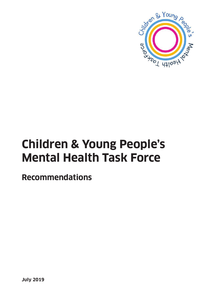

# **Children & Young People's Mental Health Task Force**

**Recommendations**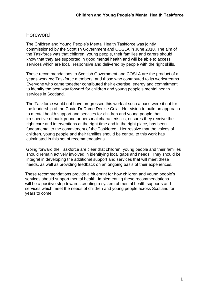# Foreword

The Children and Young People's Mental Health Taskforce was jointly commissioned by the Scottish Government and COSLA in June 2018. The aim of the Taskforce was that children, young people, their families and carers should know that they are supported in good mental health and will be able to access services which are local, responsive and delivered by people with the right skills.

These recommendations to Scottish Government and COSLA are the product of a year's work by; Taskforce members, and those who contributed to its workstreams. Everyone who came together contributed their expertise, energy and commitment to identify the best way forward for children and young people's mental health services in Scotland.

The Taskforce would not have progressed this work at such a pace were it not for the leadership of the Chair, Dr Dame Denise Coia. Her vision to build an approach to mental health support and services for children and young people that, irrespective of background or personal characteristics, ensures they receive the right care and interventions at the right time and in the right place, has been fundamental to the commitment of the Taskforce. Her resolve that the voices of children, young people and their families should be central to this work has culminated in this set of recommendations.

Going forward the Taskforce are clear that children, young people and their families should remain actively involved in identifying local gaps and needs. They should be integral in developing the additional support and services that will meet these needs, as well as providing feedback on an ongoing basis of their experiences.

These recommendations provide a blueprint for how children and young people's services should support mental health. Implementing these recommendations will be a positive step towards creating a system of mental health supports and services which meet the needs of children and young people across Scotland for years to come.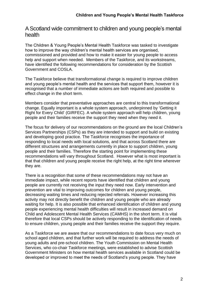## A Scotland wide commitment to children and young people's mental health

The Children & Young People's Mental Health Taskforce was tasked to investigate how to improve the way children's mental health services are organised, commissioned and provided and how to make it easier for young people to access help and support when needed. Members of the Taskforce, and its workstreams, have identified the following recommendations for consideration by the Scottish Government and COSLA.

The Taskforce believe that transformational change is required to improve children and young people's mental health and the services that support them, however it is recognised that a number of immediate actions are both required and possible to effect change in the short term.

Members consider that preventative approaches are central to this transformational change. Equally important is a whole system approach, underpinned by 'Getting it Right for Every Child' (GIRFEC). A whole system approach will help children, young people and their families receive the support they need when they need it.

The focus for delivery of our recommendations on the ground are the local Children's Services Partnerships (CSPs) as they are intended to support and build on existing and developing good practice. The Taskforce recognises the importance of responding to local needs with local solutions, and that across Scotland there are different structures and arrangements currently in place to support children, young people and their families. Therefore the starting point for implementing these recommendations will vary throughout Scotland. However what is most important is that that children and young people receive the right help, at the right time wherever they are.

There is a recognition that some of these recommendations may not have an immediate impact, while recent reports have identified that children and young people are currently not receiving the input they need now. Early intervention and prevention are vital to improving outcomes for children and young people, decreasing waiting times and reducing rejected referrals. However increasing this activity may not directly benefit the children and young people who are already waiting for help. It is also possible that enhanced identification of children and young people experiencing mental health difficulties will result in increased demand on Child and Adolescent Mental Health Services (CAMHS) in the short term. It is vital therefore that local CSPs should be actively responding to the identification of needs to ensure children, young people and their families receive the support they require.

As a Taskforce we are aware that our recommendations to date focus very much on school aged children, and that further work will be required to address the needs of young adults and pre-school children. The Youth Commission on Mental Health Services, who co-chair Taskforce meetings, were established to advise Scottish Government Ministers on how mental health services available in Scotland could be developed or improved to meet the needs of Scotland's young people. They have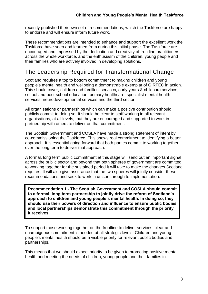recently published their own set of recommendations, which the Taskforce are happy to endorse and will ensure inform future work.

These recommendations are intended to enhance and support the excellent work the Taskforce have seen and learned from during this initial phase. The Taskforce are encouraged and impressed by the dedication and creativity of frontline practitioners across the whole workforce, and the enthusiasm of the children, young people and their families who are actively involved in developing solutions.

# The Leadership Required for Transformational Change

Scotland requires a top to bottom commitment to making children and young people's mental health and wellbeing a demonstrable exemplar of GIRFEC in action. This should cover; children and families' services, early years & childcare services, school and post-school education, primary healthcare, specialist mental health services, neurodevelopmental services and the third sector.

All organisations or partnerships which can make a positive contribution should publicly commit to doing so. It should be clear to staff working in all relevant organisations, at all levels, that they are encouraged and supported to work in partnership with others to deliver on that commitment.

The Scottish Government and COSLA have made a strong statement of intent by co-commissioning the Taskforce. This shows real commitment to identifying a better approach. It is essential going forward that both parties commit to working together over the long term to deliver that approach.

A formal, long term public commitment at this stage will send out an important signal across the public sector and beyond that both spheres of government are committed to working together for the sustained period it will take to make the changes Scotland requires. It will also give assurance that the two spheres will jointly consider these recommendations and seek to work in unison through to implementation.

**Recommendation 1 - The Scottish Government and COSLA should commit to a formal, long term partnership to jointly drive the reform of Scotland's approach to children and young people's mental health. In doing so, they should use their powers of direction and influence to ensure public bodies and local partnerships demonstrate this commitment through the priority it receives.** 

To support those working together on the frontline to deliver services, clear and unambiguous commitment is needed at all strategic levels. Children and young people's mental health should be a visible priority for relevant public bodies and partnerships.

This means that we should expect priority to be given to promoting positive mental health and meeting the needs of children, young people and their families in: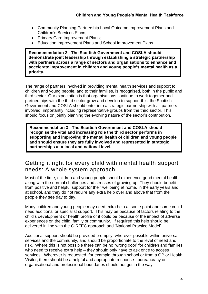- Community Planning Partnership Local Outcome Improvement Plans and Children's Services Plans;
- Primary Care Improvement Plans;
- Education Improvement Plans and School Improvement Plans.

**Recommendation 2 - The Scottish Government and COSLA should demonstrate joint leadership through establishing a strategic partnership with partners across a range of sectors and organisations to enhance and accelerate improvement in children and young people's mental health as a priority.** 

The range of partners involved in providing mental health services and support to children and young people, and to their families, is recognised, both in the public and third sector. Our expectation is that organisations continue to work together and partnerships with the third sector grow and develop to support this, the Scottish Government and COSLA should enter into a strategic partnership with all partners involved, importantly including representative groups from the third sector. This should focus on jointly planning the evolving nature of the sector's contribution.

**Recommendation 3 - The Scottish Government and COSLA should recognise the vital and increasing role the third sector performs in supporting and improving the mental health of children and young people and should ensure they are fully involved and represented in strategic partnerships at a local and national level.**

# Getting it right for every child with mental health support needs: A whole system approach

Most of the time, children and young people should experience good mental health, along with the normal challenges and stresses of growing up. They should benefit from positive and helpful support for their wellbeing at home, in the early years and at school, and they do not require any extra help over and above that from the people they see day to day.

Many children and young people may need extra help at some point and some could need additional or specialist support. This may be because of factors relating to the child's development or health profile or it could be because of the impact of adverse experiences on the child, family or community. If required this help should be delivered in line with the GIRFEC approach and 'National Practice Model'.

Additional support should be provided promptly, wherever possible within universal services and the community, and should be proportionate to the level of need and risk. Where this is not possible there can be no 'wrong door' for children and families who need to receive extra help – they should only have to ask once to access services. Wherever is requested, for example through school or from a GP or Health Visitor, there should be a helpful and appropriate response - bureaucracy or organisational and professional boundaries should not get in the way.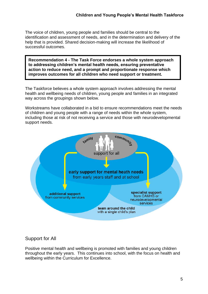The voice of children, young people and families should be central to the identification and assessment of needs, and in the determination and delivery of the help that is provided. Shared decision-making will increase the likelihood of successful outcomes.

**Recommendation 4 - The Task Force endorses a whole system approach to addressing children's mental health needs, ensuring preventative action to reduce need, and a prompt and proportionate response which improves outcomes for all children who need support or treatment.**

The Taskforce believes a whole system approach involves addressing the mental health and wellbeing needs of children, young people and families in an integrated way across the groupings shown below.

Workstreams have collaborated in a bid to ensure recommendations meet the needs of children and young people with a range of needs within the whole system, including those at risk of not receiving a service and those with neurodevelopmental support needs.



#### Support for All

Positive mental health and wellbeing is promoted with families and young children throughout the early years. This continues into school, with the focus on health and wellbeing within the Curriculum for Excellence.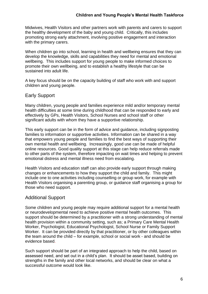#### **Children and Young People's Mental Health Taskforce**

Midwives, Health Visitors and other partners work with parents and carers to support the healthy development of the baby and young child. Critically, this includes promoting strong early attachment, involving positive engagement and interaction with the primary carers.

When children go into school, learning in health and wellbeing ensures that they can develop the knowledge, skills and capabilities they need for mental and emotional wellbeing. This includes support for young people to make informed choices to promote their own wellbeing, and to establish a healthy lifestyle that can be sustained into adult life.

A key focus should be on the capacity building of staff who work with and support children and young people.

#### Early Support

Many children, young people and families experience mild and/or temporary mental health difficulties at some time during childhood that can be responded to early and effectively by GPs, Health Visitors, School Nurses and school staff or other significant adults with whom they have a supportive relationship.

This early support can be in the form of advice and guidance, including signposting families to information or supportive activities. Information can be shared in a way that empowers young people and families to find the best ways of supporting their own mental health and wellbeing. Increasingly, good use can be made of helpful online resources. Good quality support at this stage can help reduce referrals made to other parts of the system, therefore impacting on wait times and helping to prevent emotional distress and mental illness need from escalating.

Health Visitors and education staff can also provide early support through making changes or enhancements to how they support the child and family. This might include one to one activities including counselling or group work, for example with Health Visitors organising a parenting group, or guidance staff organising a group for those who need support.

#### Additional Support

Some children and young people may require additional support for a mental health or neurodevelopmental need to achieve positive mental health outcomes. This support should be determined by a practitioner with a strong understanding of mental health provision within a community setting, such as; a Primary Care Mental Health Worker, Psychologist, Educational Psychologist, School Nurse or Family Support Worker. It can be provided directly by that practitioner, or by other colleagues within the team around the child – for example, school or social work - and should be evidence based.

Such support should be part of an integrated approach to help the child, based on assessed need, and set out in a child's plan. It should be asset based, building on strengths in the family and other local networks, and should be clear on what a successful outcome would look like.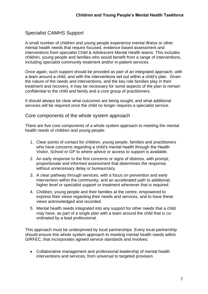#### Specialist CAMHS Support

A small number of children and young people experience mental illness or other mental health needs that require focused, evidence based assessment and interventions from specialist Child & Adolescent Mental Health teams. This includes children, young people and families who would benefit from a range of interventions, including specialist community treatment and/or in-patient services.

Once again, such support should be provided as part of an integrated approach, with a team around a child, and with the interventions set out within a child's plan. Given the nature of the needs and interventions, and the key role families play in their treatment and recovery, it may be necessary for some aspects of the plan to remain confidential to the child and family and a core group of practitioners.

It should always be clear what outcomes are being sought, and what additional services will be required once the child no longer requires a specialist service.

#### Core components of the whole system approach

There are five core components of a whole system approach to meeting the mental health needs of children and young people:

- 1. Clear points of contact for children, young people, families and practitioners who have concerns regarding a child's mental health through the Health Visitor, School or GP to where advice or access to support is available.
- 2. An early response to the first concerns or signs of distress, with prompt, proportionate and informed assessment that determines the response, without unnecessary delay or bureaucracy.
- 3. A clear pathway through services, with a focus on prevention and early intervention within the community, and an accelerated path to additional, higher level or specialist support or treatment whenever that is required.
- 4. Children, young people and their families at the centre, empowered to express their views regarding their needs and services, and to have these views acknowledged and recorded.
- 5. Mental health needs integrated into any support for other needs that a child may have, as part of a single plan with a team around the child that is coordinated by a lead professional.

This approach must be underpinned by local partnerships. Every local partnership should ensure this whole system approach to meeting mental health needs within GIRFEC, that incorporates agreed service standards and involves:

• Collaborative management and professional leadership of mental health interventions and services, from universal to targeted provision.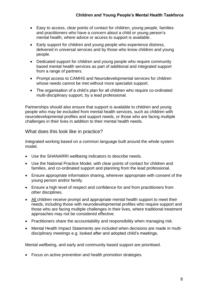- Easy to access, clear points of contact for children, young people, families and practitioners who have a concern about a child or young person's mental health, where advice or access to support is available.
- Early support for children and young people who experience distress, delivered in universal services and by those who know children and young people.
- Dedicated support for children and young people who require community based mental health services as part of additional and integrated support from a range of partners.
- Prompt access to CAMHS and Neurodevelopmental services for children whose needs cannot be met without more specialist support.
- The organisation of a child's plan for all children who require co-ordinated multi-disciplinary support, by a lead professional.

Partnerships should also ensure that support is available to children and young people who may be excluded from mental health services, such as children with neurodevelopmental profiles and support needs, or those who are facing multiple challenges in their lives in addition to their mental health needs.

What does this look like in practice?

Integrated working based on a common language built around the whole system model.

- Use the SHANARRI wellbeing indicators to describe needs.
- Use the National Practice Model, with clear points of contact for children and families, and co-ordinated support and planning from the lead professional.
- Ensure appropriate information sharing, wherever appropriate with consent of the young person and/or family.
- Ensure a high level of respect and confidence for and from practitioners from other disciplines.
- All children receive prompt and appropriate mental health support to meet their needs, including those with neurodevelopmental profiles who require support and those who are facing multiple challenges in their lives, where traditional treatment approaches may not be considered effective.
- Practitioners share the accountability and responsibility when managing risk.
- Mental Health Impact Statements are included when decisions are made in multidisciplinary meetings e.g. looked after and adopted child's meetings.

Mental wellbeing, and early and community based support are prioritised.

• Focus on active prevention and health promotion strategies.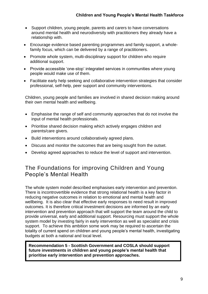- Support children, young people, parents and carers to have conversations around mental health and neurodiversity with practitioners they already have a relationship with.
- Encourage evidence based parenting programmes and family support, a wholefamily focus, which can be delivered by a range of practitioners.
- Promote whole system, multi-disciplinary support for children who require additional support.
- Provide accessible 'one-stop' integrated services in communities where young people would make use of them.
- Facilitate early help seeking and collaborative intervention strategies that consider professional, self-help, peer support and community interventions.

Children, young people and families are involved in shared decision making around their own mental health and wellbeing.

- Emphasise the range of self and community approaches that do not involve the input of mental health professionals.
- Prioritise shared decision making which actively engages children and parents/care givers.
- Build interventions around collaboratively agreed plans.
- Discuss and monitor the outcomes that are being sought from the outset.
- Develop agreed approaches to reduce the level of support and intervention.

# The Foundations for improving Children and Young People's Mental Health

The whole system model described emphasises early intervention and prevention. There is incontrovertible evidence that strong relational health is a key factor in reducing negative outcomes in relation to emotional and mental health and wellbeing. It is also clear that effective early responses to need result in improved outcomes. It is therefore critical investment decisions are informed by an early intervention and prevention approach that will support the team around the child to provide universal, early and additional support. Resourcing must support the whole system model by investing fairly in early intervention as well as specialist and crisis support. To achieve this ambition some work may be required to ascertain the totality of current spend on children and young people's mental health, investigating budgets at both a national and local level.

**Recommendation 5 - Scottish Government and COSLA should support future investments in children and young people's mental health that prioritise early intervention and prevention approaches.**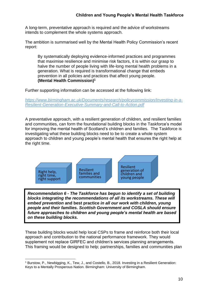A long-term, preventative approach is required and the advice of workstreams intends to complement the whole systems approach.

The ambition is summarised well by the Mental Health Policy Commission's recent report:

By systematically deploying evidence-informed practices and programmes that maximise resilience and minimise risk factors, it is within our grasp to halve the number of people living with life-long mental health problems in a generation. What is required is transformational change that embeds prevention in all policies and practices that affect young people. **(Mental Health Commission)<sup>1</sup>**

Further supporting information can be accessed at the following link:

*[https://www.birmingham.ac.uk/Documents/research/policycommission/Investing-in-a-](https://www.birmingham.ac.uk/Documents/research/policycommission/Investing-in-a-Resilient-Generation-Executive-Summary-and-Call-to-Action.pdf)[Resilient-Generation-Executive-Summary-and-Call-to-Action.pdf](https://www.birmingham.ac.uk/Documents/research/policycommission/Investing-in-a-Resilient-Generation-Executive-Summary-and-Call-to-Action.pdf)*

A preventative approach, with a resilient generation of children, and resilient families and communities, can form the foundational building blocks in the Taskforce's model for improving the mental health of Scotland's children and families. The Taskforce is investigating what these building blocks need to be to create a whole system approach to children and young people's mental health that ensures the right help at the right time.



*Recommendation 6 - The Taskforce has begun to identify a set of building blocks integrating the recommendations of all its workstreams. These will embed prevention* **and best practice** *in all our work with children, young people and their families. Scottish Government and COSLA should ensure future approaches to children and young people's mental health are based on these building blocks.*

These building blocks would help local CSPs to frame and reinforce both their local approach and contribution to the national performance framework. They would supplement not replace GIRFEC and children's services planning arrangements. This framing would be designed to help; partnerships, families and communities plan

<sup>1</sup> <sup>1</sup> Burstow, P., Newbigging, K., Tew, J., and Costello, B., 2018. Investing in a Resilient Generation: Keys to a Mentally Prosperous Nation. Birmingham: University of Birmingham.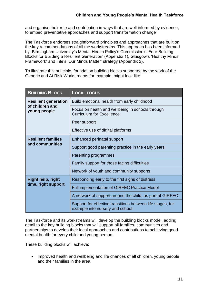and organise their role and contribution in ways that are well informed by evidence, to embed preventative approaches and support transformation change

The Taskforce endorses straightforward principles and approaches that are built on the key recommendations of all the workstreams. This approach has been informed by; Birmingham University's Mental Health Policy's Commission's 'Four Building Blocks for Building a Resilient Generation' (Appendix 1), Glasgow's 'Healthy Minds Framework' and Fife's 'Our Minds Matter' strategy (Appendix 2).

To illustrate this principle, foundation building blocks supported by the work of the Generic and At Risk Workstreams for example, might look like:

| <b>BUILDING BLOCK</b>                                          | <b>LOCAL FOCUS</b>                                                                            |
|----------------------------------------------------------------|-----------------------------------------------------------------------------------------------|
| <b>Resilient generation</b><br>of children and<br>young people | Build emotional health from early childhood                                                   |
|                                                                | Focus on health and wellbeing in schools through<br><b>Curriculum for Excellence</b>          |
|                                                                | Peer support                                                                                  |
|                                                                | Effective use of digital platforms                                                            |
| <b>Resilient families</b><br>and communities                   | Enhanced perinatal support                                                                    |
|                                                                | Support good parenting practice in the early years                                            |
|                                                                | Parenting programmes                                                                          |
|                                                                | Family support for those facing difficulties                                                  |
|                                                                | Network of youth and community supports                                                       |
| <b>Right help, right</b><br>time, right support                | Responding early to the first signs of distress                                               |
|                                                                | <b>Full implementation of GIRFEC Practice Model</b>                                           |
|                                                                | A network of support around the child, as part of GIRFEC                                      |
|                                                                | Support for effective transitions between life stages, for<br>example into nursery and school |

The Taskforce and its workstreams will develop the building blocks model, adding detail to the key building blocks that will support all families, communities and partnerships to develop their local approaches and contributions to achieving good mental health for every child and young person.

These building blocks will achieve:

• Improved health and wellbeing and life chances of all children, young people and their families in the area.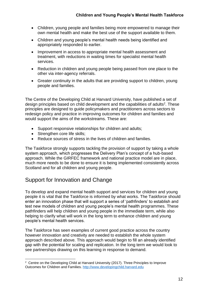- Children, young people and families being more empowered to manage their own mental health and make the best use of the support available to them.
- Children and young people's mental health needs being identified and appropriately responded to earlier.
- Improvement in access to appropriate mental health assessment and treatment, with reductions in waiting times for specialist mental health services.
- Reduction in children and young people being passed from one place to the other via inter-agency referrals.
- Greater continuity in the adults that are providing support to children, young people and families.

The Centre of the Developing Child at Harvard University, have published a set of design principles based on child development and the capabilities of adults<sup>2</sup>. These principles are designed to guide policymakers and practitioners across sectors to redesign policy and practice in improving outcomes for children and families and would support the aims of the workstreams. These are:

- Support responsive relationships for children and adults;
- Strengthen core life skills:
- Reduce sources of stress in the lives of children and families.

The Taskforce strongly supports tackling the provision of support by taking a whole system approach, which progresses the Delivery Plan's concept of a hub-based approach. While the GIRFEC framework and national practice model are in place, much more needs to be done to ensure it is being implemented consistently across Scotland and for all children and young people.

# Support for Innovation and Change

To develop and expand mental health support and services for children and young people it is vital that the Taskforce is informed by what works. The Taskforce should enter an innovation phase that will support a series of 'pathfinders' to establish and test new models of children and young people's mental health programmes. These pathfinders will help children and young people in the immediate term, while also helping to clarify what will work in the long term to enhance children and young people's mental health services.

The Taskforce has seen examples of current good practice across the country however innovation and creativity are needed to establish the whole system approach described above. This approach would begin to fill an already identified gap with the potential for scaling and replication. In the long term we would look to see partnerships drawing on this learning in response to demand.

 2 Centre on the Developing Child at Harvard University (2017). Three Principles to Improve Outcomes for Children and Families. [http://www.developingchild.harvard.edu](http://www.developingchild.harvard.edu/)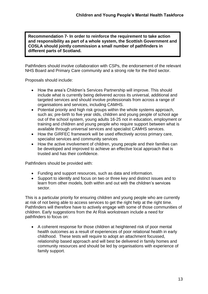**Recommendation 7- In order to reinforce the requirement to take action and responsibility as part of a whole system, the Scottish Government and COSLA should jointly commission a small number of pathfinders in different parts of Scotland.**

Pathfinders should involve collaboration with CSPs, the endorsement of the relevant NHS Board and Primary Care community and a strong role for the third sector.

Proposals should include:

- How the area's Children's Services Partnership will improve. This should include what is currently being delivered across its universal, additional and targeted services and should involve professionals from across a range of organisations and services, including CAMHS.
- Potential priority and high risk groups within the whole systems approach, such as; pre-birth to five year olds, children and young people of school age out of the school system, young adults 16-25 not in education, employment or training and children and young people who require support between what is available through universal services and specialist CAMHS services.
- How the GIRFEC framework will be used effectively across primary care, specialist services and community services
- How the active involvement of children, young people and their families can be developed and improved to achieve an effective local approach that is trusted and has their confidence.

Pathfinders should be provided with:

- Funding and support resources, such as data and information.
- Support to identify and focus on two or three key and distinct issues and to learn from other models, both within and out with the children's services sector.

This is a particular priority for ensuring children and young people who are currently at risk of not being able to access services to get the right help at the right time. Pathfinders will therefore have to actively engage with some of those communities of children. Early suggestions from the At Risk workstream include a need for pathfinders to focus on:

• A coherent response for those children at heightened risk of poor mental health outcomes as a result of experiences of poor relational health in early childhood. These tests will require to adopt an attachment focussed, relationship based approach and will best be delivered in family homes and community resources and should be led by organisations with experience of family support.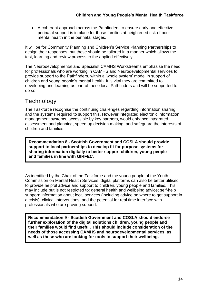• A coherent approach across the Pathfinders to ensure early and effective perinatal support is in place for those families at heightened risk of poor mental health in the perinatal stages.

It will be for Community Planning and Children's Service Planning Partnerships to design their responses, but these should be tailored in a manner which allows the test, learning and review process to the applied effectively.

The Neurodevelopmental and Specialist CAMHS Workstreams emphasise the need for professionals who are working in CAMHS and Neurodevelopmental services to provide support to the Pathfinders, within a 'whole system' model in support of children and young people's mental health. It is vital they are committed to developing and learning as part of these local Pathfinders and will be supported to do so.

# **Technology**

The Taskforce recognise the continuing challenges regarding information sharing and the systems required to support this. However integrated electronic information management systems, accessible by key partners, would enhance integrated assessment and planning, speed up decision making, and safeguard the interests of children and families.

**Recommendation 8 - Scottish Government and COSLA should provide support to local partnerships to develop fit for purpose systems for sharing information digitally to better support children, young people and families in line with GIRFEC.**

As identified by the Chair of the Taskforce and the young people of the Youth Commission on Mental Health Services, digital platforms can also be better utilised to provide helpful advice and support to children, young people and families. This may include but is not restricted to: general health and wellbeing advice; self-help support; information about local services (including advice on where to get support in a crisis); clinical interventions; and the potential for real time interface with professionals who are proving support.

**Recommendation 9 - Scottish Government and COSLA should endorse further exploration of the digital solutions children, young people and their families would find useful. This should include consideration of the needs of those accessing CAMHS and neurodevelopmental services, as well as those who are looking for tools to support their wellbeing.**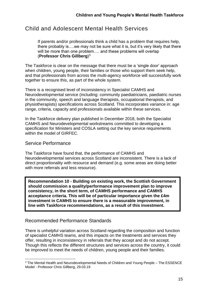# Child and Adolescent Mental Health Services

If parents and/or professionals think a child has a problem that requires help, there probably is….we may not be sure what it is, but it's very likely that there will be more than one problem.... and these problems will overlap (**Professor Chris Gillberg**) 3

The Taskforce is clear on the message that there must be a 'single door' approach when children, young people, their families or those who support them seek help, and that professionals from across the multi-agency workforce will successfully work together to ensure this, as part of the whole system.

There is a recognised level of inconsistency in Specialist CAMHS and Neurodevelopmental service (including: community paediatricians, paediatric nurses in the community, speech and language therapists, occupational therapists, and physiotherapists) specifications across Scotland. This incorporates variance in: age range, criteria, capacity and professionals available within these services.

In the Taskforce delivery plan published in December 2018, both the Specialist CAMHS and Neurodevelopmental workstreams committed to developing a specification for Ministers and COSLA setting out the key service requirements within the model of GIRFEC.

#### Service Performance

The Taskforce have found that, the performance of CAMHS and Neurodevelopmental services across Scotland are inconsistent. There is a lack of direct proportionality with resource and demand (e.g. some areas are doing better with more referrals and less resource).

**Recommendation 10 - Building on existing work, the Scottish Government should commission a quality/performance improvement plan to improve consistency, in the short term, of CAMHS performance and CAMHS acceptance criteria. This will be of particular importance given the £4m investment in CAMHS to ensure there is a measurable improvement, in line with Taskforce recommendations, as a result of this investment.**

#### Recommended Performance Standards

There is unhelpful variation across Scotland regarding the composition and function of specialist CAMHS teams, and this impacts on the treatments and services they offer, resulting in inconsistency in referrals that they accept and do not accept. Though this reflects the different structures and services across the country, it could be improved to meet the needs of children, young people and their families.

<sup>1</sup> <sup>3</sup> The Mental Health and Neurodevelopmental Needs of Children and Young People – The ESSENCE Model - Professor Chris Gillberg, 29.03.19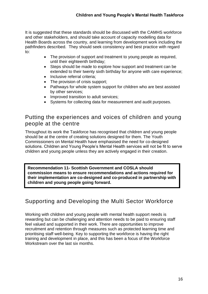It is suggested that these standards should be discussed with the CAMHS workforce and other stakeholders, and should take account of capacity modelling data for Health Boards across the country, and learning from development work including the pathfinders described. They should seek consistency and best practice with regard to:

- The provision of support and treatment to young people as required, until their eighteenth birthday;
- Steps should be made to explore how support and treatment can be extended to their twenty sixth birthday for anyone with care experience;
- Inclusive referral criteria:
- The provision of crisis support;
- Pathways for whole system support for children who are best assisted by other services;
- Improved transition to adult services;
- Systems for collecting data for measurement and audit purposes.

# Putting the experiences and voices of children and young people at the centre

Throughout its work the Taskforce has recognised that children and young people should be at the centre of creating solutions designed for them. The Youth Commissioners on Mental Health have emphasised the need for co-designed solutions. Children and Young People's Mental Health services will not be fit to serve children and young people unless they are actively engaged in their creation.

**Recommendation 11- Scottish Government and COSLA should commission means to ensure recommendations and actions required for their implementation are co-designed and co-produced in partnership with children and young people going forward.**

# Supporting and Developing the Multi Sector Workforce

Working with children and young people with mental health support needs is rewarding but can be challenging and attention needs to be paid to ensuring staff feel valued and supported in their work. There are opportunities to improve recruitment and retention through measures such as protected learning time and prioritising staff well-being. Key to supporting the workforce is having the right training and development in place, and this has been a focus of the Workforce Workstream over the last six months.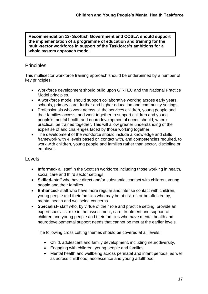**Recommendation 12- Scottish Government and COSLA should support the implementation of a programme of education and training for the multi-sector workforce in support of the Taskforce's ambitions for a whole system approach model.**

#### **Principles**

This multisector workforce training approach should be underpinned by a number of key principles:

- Workforce development should build upon GIRFEC and the National Practice Model principles.
- A workforce model should support collaborative working across early years, schools, primary care, further and higher education and community settings.
- Professionals who work across all the services children, young people and their families access, and work together to support children and young people's mental health and neurodevelopmental needs should, where practical, be trained together. This will allow greater understanding of the expertise of and challenges faced by those working together.
- The development of the workforce should include a knowledge and skills framework with 4 levels based on contact with, and competencies required, to work with children, young people and families rather than sector, discipline or employer.

#### Levels

- **Informed-** all staff in the Scottish workforce including those working in health, social care and third sector settings.
- **Skilled-** staff who have direct and/or substantial contact with children, young people and their families.
- **Enhanced-** staff who have more regular and intense contact with children, young people and their families who may be at risk of, or be affected by, mental health and wellbeing concerns.
- **Specialist-** staff who, by virtue of their role and practice setting, provide an expert specialist role in the assessment, care, treatment and support of children and young people and their families who have mental health and neurodevelopmental support needs that cannot be met at the earlier levels.

The following cross cutting themes should be covered at all levels:

- Child, adolescent and family development, including neurodiversity,
- Engaging with children, young people and families;
- Mental health and wellbeing across perinatal and infant periods, as well as across childhood, adolescence and young adulthood;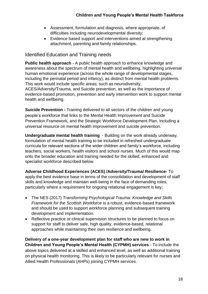- Assessment, formulation and diagnosis, where appropriate, of difficulties including neurodevelopmental diversity;
- Evidence based support and interventions aimed at strengthening attachment, parenting and family relationships.

# Identified Education and Training needs

**Public health approach** - A public health approach to enhance knowledge and awareness about the spectrum of mental health and wellbeing, highlighting universal human emotional experience (across the whole range of developmental stages, including the perinatal period and infancy), as distinct from mental health problems. This work would include specific areas; such as neurodiversity, ACES/Adversity/Trauma, and Suicide prevention, as well as the importance of evidence-based promotion, prevention and early intervention work to support mental health and wellbeing.

**Suicide Prevention -** Training delivered to all sectors of the children and young people's workforce that links to the Mental Health Improvement and Suicide Prevention Framework, and the Strategic Workforce Development Plan, including a universal resource on mental health improvement and suicide prevention.

**Undergraduate mental health training** - Building on the work already underway, formulation of mental health training to be included in refreshed undergraduate curricula for relevant sections of the wider children and family's workforce, including teachers, social workers, health visitors and school nurses. Much of this would map onto the broader education and training needed for the skilled, enhanced and specialist workforce described below.

**Adverse Childhood Experiences (ACES) /Adversity/Trauma/ Resilience-** To apply the best evidence base in terms of the consolidation and development of staff skills and knowledge and maintain well-being in the face of demanding roles, particularly where a requirement for ongoing relational engagement is key;

- The NES (2017) *Transforming Psychological Trauma: Knowledge and Skills Framework for the Scottish Workforce* is a robust, evidence-based framework and should be used to support workforce planning and subsequent training development and implementation.
- Reflective practice or clinical supervision structures to be planned to focus on support for staff to deliver safe, high quality, evidence-based, relational approaches while maintaining their own resilience and wellbeing.

**Delivery of a one-year development plan for staff who are new to work in Children and Young People's Mental Health (CYPMH) services** - To include the above topics delivered at a skilled and enhanced level, as well as additional training on physical health monitoring. This is likely to be particularly relevant for nurses and Allied Health Professionals (AHPs) joining CYPMH services.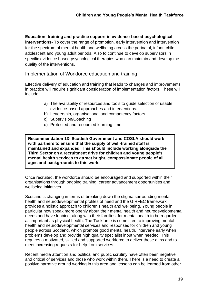**Education, training and practice support in evidence-based psychological interventions-** To cover the range of promotion, early intervention and intervention for the spectrum of mental health and wellbeing across the perinatal, infant, child, adolescent and young adult periods. Also to continue to develop supervisors in specific evidence based psychological therapies who can maintain and develop the quality of the interventions.

Implementation of Workforce education and training

Effective delivery of education and training that leads to changes and improvements in practice will require significant consideration of implementation factors. These will include:

- a) The availability of resources and tools to guide selection of usable evidence-based approaches and interventions.
- b) Leadership, organisational and competency factors
- c) Supervision/Coaching
- d) Protected and resourced learning time

**Recommendation 13- Scottish Government and COSLA should work with partners to ensure that the supply of well-trained staff is maintained and expanded. This should include working alongside the Third Sector on a recruitment drive for children and young people's mental health services to attract bright, compassionate people of all ages and backgrounds to this work.** 

Once recruited, the workforce should be encouraged and supported within their organisations through ongoing training, career advancement opportunities and wellbeing initiatives.

Scotland is changing in terms of breaking down the stigma surrounding mental health and neurodevelopmental profiles of need and the GIRFEC framework provides a holistic approach to children's health and wellbeing. Young people in particular now speak more openly about their mental health and neurodevelopmental needs and have lobbied, along with their families, for mental health to be regarded as important as physical health. The Taskforce is committed to improving mental health and neurodevelopmental services and responses for children and young people across Scotland, which promote good mental health, intervene early when problems develop and provide high quality specialist input when needed. This requires a motivated, skilled and supported workforce to deliver these aims and to meet increasing requests for help from services.

Recent media attention and political and public scrutiny have often been negative and critical of services and those who work within them. There is a need to create a positive narrative around working in this area and lessons can be learned from other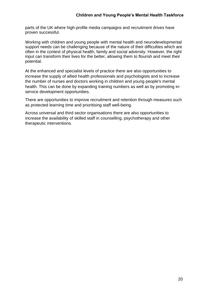parts of the UK where high-profile media campaigns and recruitment drives have proven successful.

Working with children and young people with mental health and neurodevelopmental support needs can be challenging because of the nature of their difficulties which are often in the context of physical health, family and social adversity. However, the right input can transform their lives for the better, allowing them to flourish and meet their potential.

At the enhanced and specialist levels of practice there are also opportunities to increase the supply of allied health professionals and psychologists and to increase the number of nurses and doctors working in children and young people's mental health. This can be done by expanding training numbers as well as by promoting inservice development opportunities.

There are opportunities to improve recruitment and retention through measures such as protected learning time and prioritising staff well-being.

Across universal and third sector organisations there are also opportunities to increase the availability of skilled staff in counselling, psychotherapy and other therapeutic interventions.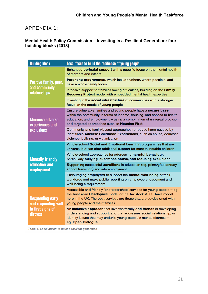# APPENDIX 1:

#### **Mental Health Policy Commission – Investing in a Resilient Generation: four building blocks (2018)**

| <b>Building block</b>                                                           | Local focus to build the resilience of young people                                                                                                                                                                                                                  |
|---------------------------------------------------------------------------------|----------------------------------------------------------------------------------------------------------------------------------------------------------------------------------------------------------------------------------------------------------------------|
| Positive family, peer,<br>and community<br>relationships                        | Enhanced perinatal support with a specific focus on the mental health<br>of mothers and infants                                                                                                                                                                      |
|                                                                                 | Parenting programmes, which include fathers, where possible, and<br>have a whole-family focus                                                                                                                                                                        |
|                                                                                 | Intensive support for families facing difficulties, building on the Family<br>Recovery Project model with embedded mental health expertise                                                                                                                           |
|                                                                                 | Investing in the social infrastructure of communities with a stronger<br>focus on the needs of young people                                                                                                                                                          |
| <b>Minimise adverse</b><br>experiences and<br><b>exclusions</b>                 | Ensure vulnerable families and young people have a secure base<br>within the community in terms of income, housing, and access to health,<br>education, and employment - using a combination of universal provision<br>and targeted approaches such as Housing First |
|                                                                                 | Community and family-based approaches to reduce harm caused by<br>identifiable Adverse Childhood Experiences, such as abuse, domestic<br>violence, bullying, or victimisation                                                                                        |
| <b>Mentally friendly</b><br>education and<br>employment                         | Whole-school Social and Emotional Learning programmes that are<br>universal but can offer additional support for more vulnerable children                                                                                                                            |
|                                                                                 | Whole-school approaches for addressing harmful behaviour,<br>particularly bullying, substance abuse, and reducing exclusions                                                                                                                                         |
|                                                                                 | Supporting successful transitions in education (eg, primary/secondary<br>school transition) and into employment                                                                                                                                                      |
|                                                                                 | Encouraging employers to support the mental well-being of their<br>workforce and make public reporting on employee engagement and<br>well-being a requirement                                                                                                        |
| <b>Responding early</b><br>and responding well<br>to first signs of<br>distress | Accessible and friendly 'one-stop-shop' services for young people - eg,<br>the Australian Headspace model or the Tavistock-AFC Thrive model<br>here in the UK. The best services are those that are co-designed with<br>young people and their families              |
|                                                                                 | An inclusive approach that involves family and friends in developing<br>understanding and support, and that addresses social, relationship, or<br>identity issues that may underlie young people's mental distress -<br>eg, Open Dialogue                            |

Table 1: Local action to build a resilient generation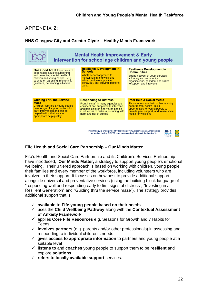## APPENDIX 2:

#### **NHS Glasgow City and Greater Clyde – Healthy Minds Framework**



This strategy is underpinned by tackling poverty, disadvantage & inequalities<br>as well as having GIRFEC core values and principles at the heart of it.



#### **Fife Health and Social Care Partnership – Our Minds Matter**

Fife's Health and Social Care Partnership and its Children's Services Partnership have introduced, **Our Minds Matter,** a strategy to support young people's emotional wellbeing. Their 3 tiered approach is based on working with children, young people, their families and every member of the workforce, including volunteers who are involved in their support. It focusses on how best to provide additional support alongside universal and preventative services (using the building block language of "responding well and responding early to first signs of distress", "Investing in a Resilient Generation" and "Guiding thru the service maze"). The strategy provides additional support that is:

- ✓ **available to Fife young people based on their needs**.
- ✓ uses the **Child Wellbeing Pathway** along with the **Contextual Assessment of Anxiety Framework**
- ✓ applies **Core Fife Resources** e.g. Seasons for Growth and 7 Habits for Teens
- ✓ **involves partners** (e.g. parents and/or other professionals) in assessing and responding to individual children's needs
- ✓ gives **access to appropriate information** to partners and young people at a suitable level
- ✓ **listens to** and **coaches** young people to support them to be **resilient** and explore **solutions**.
- ✓ **refers to locally available support** services.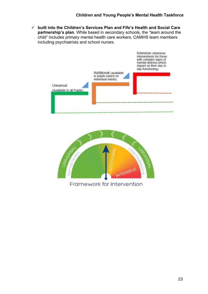✓ **built into the Children's Services Plan and Fife's Health and Social Care partnership's plan**. While based in secondary schools, the "team around the child" includes primary mental health care workers, CAMHS team members including psychiatrists and school nurses.





23